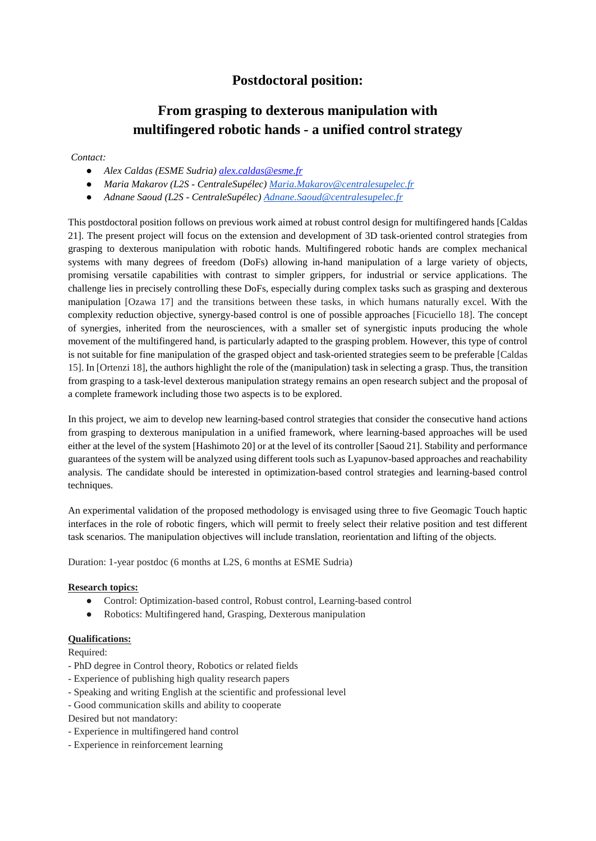## **Postdoctoral position:**

# **From grasping to dexterous manipulation with multifingered robotic hands - a unified control strategy**

#### *Contact:*

- *Alex Caldas (ESME Sudria) [alex.caldas@esme.fr](mailto:alex.caldas@esme.fr)*
- *Maria Makarov (L2S - CentraleSupélec) [Maria.Makarov@centralesupelec.fr](mailto:Maria.Makarov@centralesupelec.fr)*
- *Adnane Saoud (L2S - CentraleSupélec[\) Adnane.Saoud@centralesupelec.fr](mailto:Adnane.Saoud@centralesupelec.fr)*

This postdoctoral position follows on previous work aimed at robust control design for multifingered hands [Caldas 21]. The present project will focus on the extension and development of 3D task-oriented control strategies from grasping to dexterous manipulation with robotic hands. Multifingered robotic hands are complex mechanical systems with many degrees of freedom (DoFs) allowing in-hand manipulation of a large variety of objects, promising versatile capabilities with contrast to simpler grippers, for industrial or service applications. The challenge lies in precisely controlling these DoFs, especially during complex tasks such as grasping and dexterous manipulation [Ozawa 17] and the transitions between these tasks, in which humans naturally excel. With the complexity reduction objective, synergy-based control is one of possible approaches [Ficuciello 18]. The concept of synergies, inherited from the neurosciences, with a smaller set of synergistic inputs producing the whole movement of the multifingered hand, is particularly adapted to the grasping problem. However, this type of control is not suitable for fine manipulation of the grasped object and task-oriented strategies seem to be preferable [Caldas 15]. In [Ortenzi 18], the authors highlight the role of the (manipulation) task in selecting a grasp. Thus, the transition from grasping to a task-level dexterous manipulation strategy remains an open research subject and the proposal of a complete framework including those two aspects is to be explored.

In this project, we aim to develop new learning-based control strategies that consider the consecutive hand actions from grasping to dexterous manipulation in a unified framework, where learning-based approaches will be used either at the level of the system [Hashimoto 20] or at the level of its controller [Saoud 21]. Stability and performance guarantees of the system will be analyzed using different tools such as Lyapunov-based approaches and reachability analysis. The candidate should be interested in optimization-based control strategies and learning-based control techniques.

An experimental validation of the proposed methodology is envisaged using three to five Geomagic Touch haptic interfaces in the role of robotic fingers, which will permit to freely select their relative position and test different task scenarios. The manipulation objectives will include translation, reorientation and lifting of the objects.

Duration: 1-year postdoc (6 months at L2S, 6 months at ESME Sudria)

### **Research topics:**

- Control: Optimization-based control, Robust control, Learning-based control
- Robotics: Multifingered hand, Grasping, Dexterous manipulation

### **Qualifications:**

Required:

- PhD degree in Control theory, Robotics or related fields
- Experience of publishing high quality research papers
- Speaking and writing English at the scientific and professional level
- Good communication skills and ability to cooperate
- Desired but not mandatory:
- Experience in multifingered hand control
- Experience in reinforcement learning